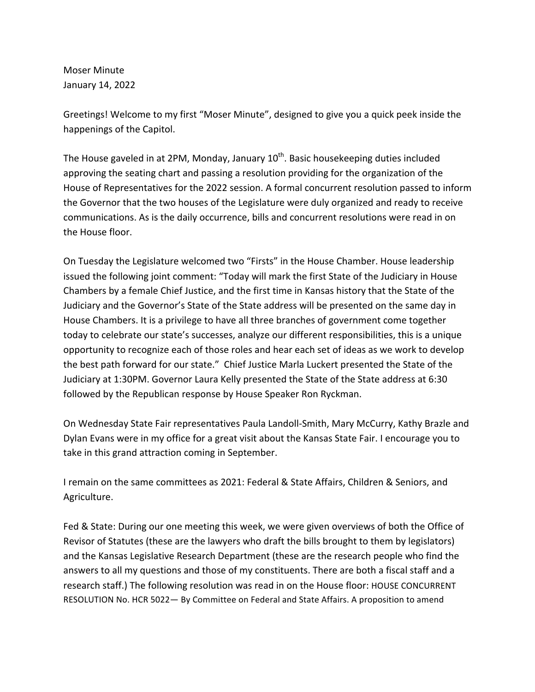Moser Minute January 14, 2022

Greetings! Welcome to my first "Moser Minute", designed to give you a quick peek inside the happenings of the Capitol.

The House gaveled in at 2PM, Monday, January  $10^{th}$ . Basic housekeeping duties included approving the seating chart and passing a resolution providing for the organization of the House of Representatives for the 2022 session. A formal concurrent resolution passed to inform the Governor that the two houses of the Legislature were duly organized and ready to receive communications. As is the daily occurrence, bills and concurrent resolutions were read in on the House floor.

On Tuesday the Legislature welcomed two "Firsts" in the House Chamber. House leadership issued the following joint comment: "Today will mark the first State of the Judiciary in House Chambers by a female Chief Justice, and the first time in Kansas history that the State of the Judiciary and the Governor's State of the State address will be presented on the same day in House Chambers. It is a privilege to have all three branches of government come together today to celebrate our state's successes, analyze our different responsibilities, this is a unique opportunity to recognize each of those roles and hear each set of ideas as we work to develop the best path forward for our state." Chief Justice Marla Luckert presented the State of the Judiciary at 1:30PM. Governor Laura Kelly presented the State of the State address at 6:30 followed by the Republican response by House Speaker Ron Ryckman.

On Wednesday State Fair representatives Paula Landoll-Smith, Mary McCurry, Kathy Brazle and Dylan Evans were in my office for a great visit about the Kansas State Fair. I encourage you to take in this grand attraction coming in September.

I remain on the same committees as 2021: Federal & State Affairs, Children & Seniors, and Agriculture.

Fed & State: During our one meeting this week, we were given overviews of both the Office of Revisor of Statutes (these are the lawyers who draft the bills brought to them by legislators) and the Kansas Legislative Research Department (these are the research people who find the answers to all my questions and those of my constituents. There are both a fiscal staff and a research staff.) The following resolution was read in on the House floor: HOUSE CONCURRENT RESOLUTION No. HCR 5022- By Committee on Federal and State Affairs. A proposition to amend